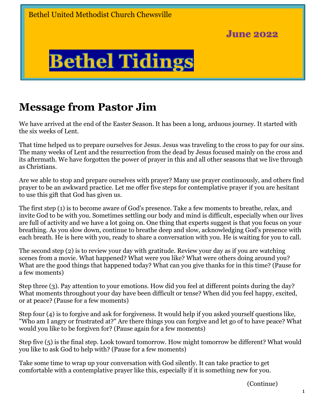

# **Message from Pastor Jim**

We have arrived at the end of the Easter Season. It has been a long, arduous journey. It started with the six weeks of Lent.

That time helped us to prepare ourselves for Jesus. Jesus was traveling to the cross to pay for our sins. The many weeks of Lent and the resurrection from the dead by Jesus focused mainly on the cross and its aftermath. We have forgotten the power of prayer in this and all other seasons that we live through as Christians.

Are we able to stop and prepare ourselves with prayer? Many use prayer continuously, and others find prayer to be an awkward practice. Let me offer five steps for contemplative prayer if you are hesitant to use this gift that God has given us.

The first step (1) is to become aware of God's presence. Take a few moments to breathe, relax, and invite God to be with you. Sometimes settling our body and mind is difficult, especially when our lives are full of activity and we have a lot going on. One thing that experts suggest is that you focus on your breathing. As you slow down, continue to breathe deep and slow, acknowledging God's presence with each breath. He is here with you, ready to share a conversation with you. He is waiting for you to call.

The second step (2) is to review your day with gratitude. Review your day as if you are watching scenes from a movie. What happened? What were you like? What were others doing around you? What are the good things that happened today? What can you give thanks for in this time? (Pause for a few moments)

Step three (3). Pay attention to your emotions. How did you feel at different points during the day? What moments throughout your day have been difficult or tense? When did you feel happy, excited, or at peace? (Pause for a few moments)

Step four (4) is to forgive and ask for forgiveness. It would help if you asked yourself questions like, "Who am I angry or frustrated at?" Are there things you can forgive and let go of to have peace? What would you like to be forgiven for? (Pause again for a few moments)

Step five (5) is the final step. Look toward tomorrow. How might tomorrow be different? What would you like to ask God to help with? (Pause for a few moments)

Take some time to wrap up your conversation with God silently. It can take practice to get comfortable with a contemplative prayer like this, especially if it is something new for you.

(Continue)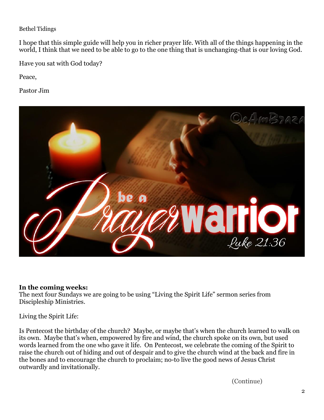I hope that this simple guide will help you in richer prayer life. With all of the things happening in the world, I think that we need to be able to go to the one thing that is unchanging-that is our loving God.

Have you sat with God today?

Peace,

Pastor Jim



### **In the coming weeks:**

The next four Sundays we are going to be using "Living the Spirit Life" sermon series from Discipleship Ministries.

Living the Spirit Life:

Is Pentecost the birthday of the church? Maybe, or maybe that's when the church learned to walk on its own. Maybe that's when, empowered by fire and wind, the church spoke on its own, but used words learned from the one who gave it life. On Pentecost, we celebrate the coming of the Spirit to raise the church out of hiding and out of despair and to give the church wind at the back and fire in the bones and to encourage the church to proclaim; no-to live the good news of Jesus Christ outwardly and invitationally.

(Continue)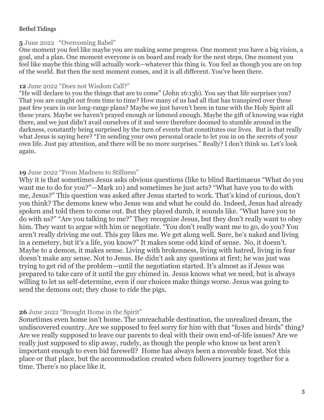### **5** June 2022 "Overcoming Babel"

One moment you feel like maybe you are making some progress. One moment you have a big vision, a goal, and a plan. One moment everyone is on board and ready for the next steps. One moment you feel like maybe this thing will actually work—whatever this thing is. You feel as though you are on top of the world. But then the next moment comes, and it is all different. You've been there.

### **12** June 2022 "Does not Wisdom Call?"

"He will declare to you the things that are to come" (John 16:13b). You say that life surprises you? That you are caught out from time to time? How many of us had all that has transpired over these past few years in our long-range plans? Maybe we just haven't been in tune with the Holy Spirit all these years. Maybe we haven't prayed enough or listened enough. Maybe the gift of knowing was right there, and we just didn't avail ourselves of it and were therefore doomed to stumble around in the darkness, constantly being surprised by the turn of events that constitutes our lives. But is that really what Jesus is saying here? "I'm sending your own personal oracle to let you in on the secrets of your own life. Just pay attention, and there will be no more surprises." Really? I don't think so. Let's look again.

### **19** June 2022 "From Madness to Stillness"

Why it is that sometimes Jesus asks obvious questions (like to blind Bartimaeus "What do you want me to do for you?"—Mark 10) and sometimes he just acts? "What have you to do with me, Jesus?" This question was asked after Jesus started to work. That's kind of curious, don't you think? The demons knew who Jesus was and what he could do. Indeed, Jesus had already spoken and told them to come out. But they played dumb, it sounds like. "What have you to do with us?" "Are you talking to me?" They recognize Jesus, but they don't really want to obey him. They want to argue with him or negotiate. "You don't really want me to go, do you? You aren't really driving me out. This guy likes me. We get along well. Sure, he's naked and living in a cemetery, but it's a life, you know?" It makes some odd kind of sense. No, it doesn't. Maybe to a demon, it makes sense. Living with brokenness, living with hatred, living in fear doesn't make any sense. Not to Jesus. He didn't ask any questions at first; he was just was trying to get rid of the problem—until the negotiation started. It's almost as if Jesus was prepared to take care of it until the guy chimed in. Jesus knows what we need, but is always willing to let us self-determine, even if our choices make things worse. Jesus was going to send the demons out; they chose to ride the pigs.

### **26** June 2022 "Brought Home in the Spirit"

Sometimes even home isn't home. The unreachable destination, the unrealized dream, the undiscovered country. Are we supposed to feel sorry for him with that "foxes and birds" thing? Are we really supposed to leave our parents to deal with their own end-of-life issues? Are we really just supposed to slip away, rudely, as though the people who know us best aren't important enough to even bid farewell? Home has always been a moveable feast. Not this place or that place, but the accommodation created when followers journey together for a time. There's no place like it.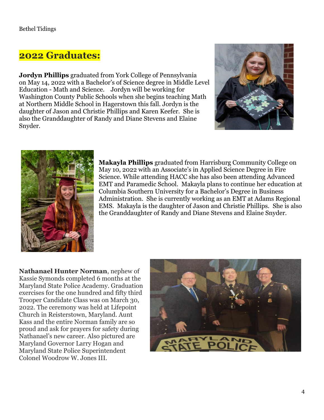### **2022 Graduates:**

**Jordyn Phillips** graduated from York College of Pennsylvania on May 14, 2022 with a Bachelor's of Science degree in Middle Level Education - Math and Science. Jordyn will be working for Washington County Public Schools when she begins teaching Math at Northern Middle School in Hagerstown this fall. Jordyn is the daughter of Jason and Christie Phillips and Karen Keefer. She is also the Granddaughter of Randy and Diane Stevens and Elaine Snyder.





**Makayla Phillips** graduated from Harrisburg Community College on May 10, 2022 with an Associate's in Applied Science Degree in Fire Science. While attending HACC she has also been attending Advanced EMT and Paramedic School. Makayla plans to continue her education at Columbia Southern University for a Bachelor's Degree in Business Administration. She is currently working as an EMT at Adams Regional EMS. Makayla is the daughter of Jason and Christie Phillips. She is also the Granddaughter of Randy and Diane Stevens and Elaine Snyder.

**Nathanael Hunter Norman**, nephew of Kassie Symonds completed 6 months at the Maryland State Police Academy. Graduation exercises for the one hundred and fifty third Trooper Candidate Class was on March 30, 2022. The ceremony was held at Lifepoint Church in Reisterstown, Maryland. Aunt Kass and the entire Norman family are so proud and ask for prayers for safety during Nathanael's new career. Also pictured are Maryland Governor Larry Hogan and Maryland State Police Superintendent Colonel Woodrow W. Jones III.

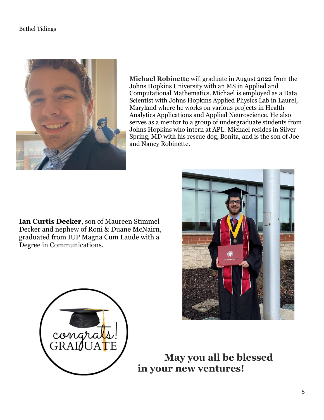

**Michael Robinette** will graduate in August 2022 from the Johns Hopkins University with an MS in Applied and Computational Mathematics. Michael is employed as a Data Scientist with Johns Hopkins Applied Physics Lab in Laurel, Maryland where he works on various projects in Health Analytics Applications and Applied Neuroscience. He also serves as a mentor to a group of undergraduate students from Johns Hopkins who intern at APL. Michael resides in Silver Spring, MD with his rescue dog, Bonita, and is the son of Joe and Nancy Robinette.

**Ian Curtis Decker**, son of Maureen Stimmel Decker and nephew of Roni & Duane McNairn, graduated from IUP Magna Cum Laude with a Degree in Communications.



 **May you all be blessed in your new ventures!**

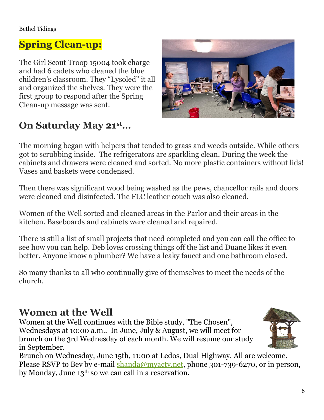# **Spring Clean-up:**

The Girl Scout Troop 15004 took charge and had 6 cadets who cleaned the blue children's classroom. They "Lysoled" it all and organized the shelves. They were the first group to respond after the Spring Clean-up message was sent.



# **On Saturday May 21st…**

The morning began with helpers that tended to grass and weeds outside. While others got to scrubbing inside. The refrigerators are sparkling clean. During the week the cabinets and drawers were cleaned and sorted. No more plastic containers without lids! Vases and baskets were condensed.

Then there was significant wood being washed as the pews, chancellor rails and doors were cleaned and disinfected. The FLC leather couch was also cleaned.

Women of the Well sorted and cleaned areas in the Parlor and their areas in the kitchen. Baseboards and cabinets were cleaned and repaired.

There is still a list of small projects that need completed and you can call the office to see how you can help. Deb loves crossing things off the list and Duane likes it even better. Anyone know a plumber? We have a leaky faucet and one bathroom closed.

So many thanks to all who continually give of themselves to meet the needs of the church.

## **Women at the Well**

Women at the Well continues with the Bible study, "The Chosen", Wednesdays at 10:00 a.m.. In June, July & August, we will meet for brunch on the 3rd Wednesday of each month. We will resume our study in September.



Brunch on Wednesday, June 15th, 11:00 at Ledos, Dual Highway. All are welcome. Please RSVP to Bev by e-mail [shanda@myactv.net,](mailto:shanda@myactv.net) phone 301-739-6270, or in person, by Monday, June 13th so we can call in a reservation.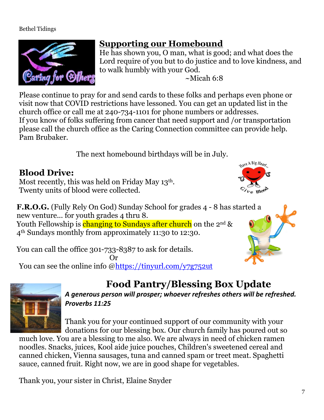

## **Supporting our Homebound**

He has shown you, O man, what is good; and what does the Lord require of you but to do justice and to love kindness, and to walk humbly with your God.  $\sim$ Micah 6:8

Please continue to pray for and send cards to these folks and perhaps even phone or visit now that COVID restrictions have lessoned. You can get an updated list in the church office or call me at 240-734-1101 for phone numbers or addresses. If you know of folks suffering from cancer that need support and /or transportation please call the church office as the Caring Connection committee can provide help. Pam Brubaker.

The next homebound birthdays will be in July.

## **Blood Drive:**

Most recently, this was held on Friday May 13th. Twenty units of blood were collected.

**F.R.O.G.** (Fully Rely On God) Sunday School for grades 4 - 8 has started a new venture... for youth grades 4 thru 8. Youth Fellowship is changing to Sundays after church on the  $2^{nd}$  & 4th Sundays monthly from approximately 11:30 to 12:30.

You can call the office 301-733-8387 to ask for details. Or

You can see the online info [@https://tinyurl.com/y7g752ut](https://tinyurl.com/y7g752ut)



# **Food Pantry/Blessing Box Update**

*A generous person will prosper; whoever refreshes others will be refreshed. Proverbs 11:25*

Thank you for your continued support of our community with your donations for our blessing box. Our church family has poured out so

much love. You are a blessing to me also. We are always in need of chicken ramen noodles. Snacks, juices, Kool aide juice pouches, Children's sweetened cereal and canned chicken, Vienna sausages, tuna and canned spam or treet meat. Spaghetti sauce, canned fruit. Right now, we are in good shape for vegetables.

Thank you, your sister in Christ, Elaine Snyder

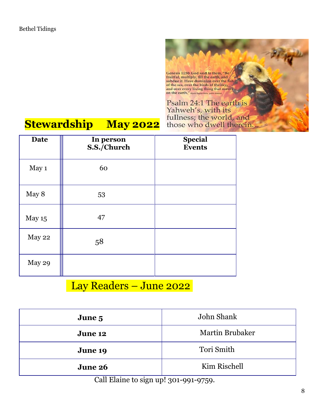

# **Stewardship May 2022**

| <b>Date</b> | In person<br>S.S./Church | <b>Special</b><br><b>Events</b> |
|-------------|--------------------------|---------------------------------|
| May 1       | 60                       |                                 |
| May 8       | 53                       |                                 |
| May 15      | 47                       |                                 |
| May 22      | 58                       |                                 |
| May 29      |                          |                                 |

# Lay Readers - June 2022

| John Shank             |  |  |
|------------------------|--|--|
| <b>Martin Brubaker</b> |  |  |
| Tori Smith             |  |  |
| Kim Rischell           |  |  |
|                        |  |  |

Call Elaine to sign up! 301-991-9759.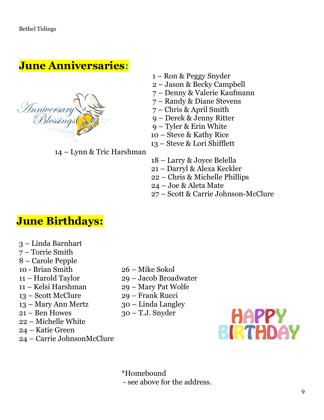# **June Anniversaries:**



– Lynn & Tric Harshman

- 1 Ron & Peggy Snyder
- Jason & Becky Campbell
- Denny & Valerie Kaufmann
- Randy & Diane Stevens
- Chris & April Smith
- Derek & Jenny Ritter
- Tyler & Erin White
- Steve & Kathy Rice
- Steve & Lori Shifflett
- Larry & Joyce Belella
- Darryl & Alexa Keckler
- Chris & Michelle Phillips
- Joe & Aleta Mate
- Scott & Carrie Johnson-McClure

# **June Birthdays:**

- Linda Barnhart
- Torrie Smith
- Carole Pepple
- 10 Brian Smith
- Harold Taylor
- Kelsi Harshman
- Scott McClure
- Mary Ann Mertz
- Ben Howes
- Michelle White
- Katie Green
- Carrie JohnsonMcClure
- Mike Sokol
- Jacob Broadwater
- Mary Pat Wolfe
- Frank Rucci
- Linda Langley
- T.J. Snyder



\*Homebound - see above for the address.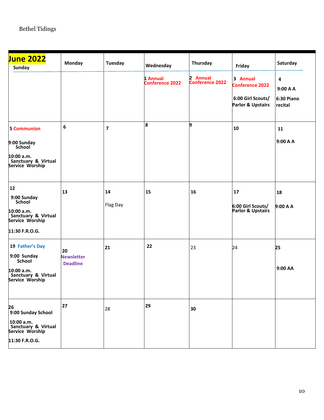| <b>June 2022</b><br><b>Sunday</b>                                                                       | Monday                                     | <b>Tuesday</b>          | Wednesday<br>1 Annual<br><b>Conference 2022</b> | Thursday<br>2 Annual<br>Conference 2022 | Friday<br>3 Annual<br><b>Conference 2022</b><br>6:00 Girl Scouts/<br><b>Parlor &amp; Upstairs</b> | Saturday<br>4<br>9:00 A A<br>6:30 Piano<br>recital |
|---------------------------------------------------------------------------------------------------------|--------------------------------------------|-------------------------|-------------------------------------------------|-----------------------------------------|---------------------------------------------------------------------------------------------------|----------------------------------------------------|
| <b>5 Communion</b><br>9:00 Sunday<br>School<br>10:00 a.m.<br>Sanctuary & Virtual<br>Service Worship     | 6                                          | $\overline{\mathbf{z}}$ | 8                                               | 9                                       | 10                                                                                                | 11<br>9:00 A A                                     |
| 12<br>9:00 Sunday<br>School<br>10:00 a.m.<br>Sanctuary & Virtual<br>Service Worship<br>11:30 F.R.O.G.   | 13                                         | 14<br>Flag Day          | 15                                              | 16                                      | 17<br>6:00 Girl Scouts/<br><b>Parlor &amp; Upstairs</b>                                           | 18<br>9:00 A A                                     |
| 19 Father's Day<br>9:00 Sunday<br><b>School</b><br>10:00 a.m.<br>Sanctuary & Virtual<br>Service Worship | 20<br><b>Newsletter</b><br><b>Deadline</b> | 21                      | 22                                              | 23                                      | 24                                                                                                | 25<br>9:00 AA                                      |
| 26<br>9:00 Sunday School<br>10:00 a.m.<br>Sanctuary & Virtual<br>Service Worship<br>11:30 F.R.O.G.      | 27                                         | 28                      | 29                                              | 30                                      |                                                                                                   |                                                    |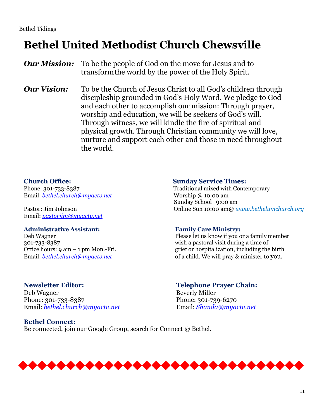# **Bethel United Methodist Church Chewsville**

*Our Mission:* To be the people of God on the move for Jesus and to transformthe world by the power of the Holy Spirit.

*Our Vision:* To be the Church of Jesus Christ to all God's children through discipleship grounded in God's Holy Word. We pledge to God and each other to accomplish our mission: Through prayer, worship and education, we will be seekers of God's will. Through witness, we will kindle the fire of spiritual and physical growth. Through Christian community we will love, nurture and support each other and those in need throughout the world.

Email: *[bethel.church@myactv.net](mailto:bethel.church@myactv.net)* Worship @ 10:00 am

Email: *[pastorjim@myactv.net](mailto:pastorjim@myactv.net)*

### **Administrative Assistant: Family Care Ministry:**

### **Newsletter Editor: Telephone Prayer Chain:** Deb Wagner Beverly Miller Phone: 301-733-8387 Phone: 301-739-6270 Email: *[bethel.church@myactv.net](mailto:bethel.church@myactv.net)* Email: *[Shanda@myactv.net](mailto:Shanda@myactv.net)*

**Bethel Connect:** Be connected, join our Google Group, search for Connect @ Bethel.

### **Church Office: Sunday Service Times:**

Phone: 301-733-8387 Traditional mixed with Contemporary Sunday School 9:00 am Pastor: Jim Johnson Online Sun 10:00 am@ *www.bethelumchurch.org*

Deb Wagner Please let us know if you or a family member 301-733-8387 wish a pastoral visit during a time of Office hours: 9 am – 1 pm Mon.-Fri. grief or hospitalization, including the birth Email: *bethel.church@myactv.net* **of a child. We will pray & minister to you.**